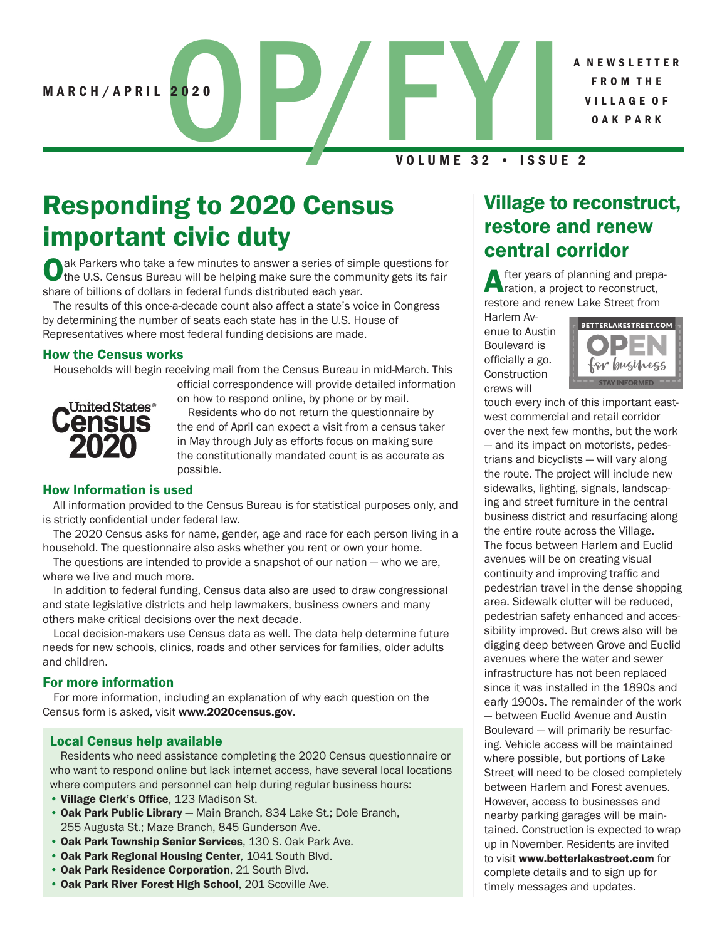A N E W S L E T T E R F R O M T H E V I L L A G E O F O A K P A R K

MARCH/APRIL 2020<br>VOLUME 32 · ISSU VOLUME 32 • ISSUE 2

# Responding to 2020 Census important civic duty

ak Parkers who take a few minutes to answer a series of simple questions for the U.S. Census Bureau will be helping make sure the community gets its fair share of billions of dollars in federal funds distributed each year.

The results of this once-a-decade count also affect a state's voice in Congress by determining the number of seats each state has in the U.S. House of Representatives where most federal funding decisions are made.

#### How the Census works

Households will begin receiving mail from the Census Bureau in mid-March. This official correspondence will provide detailed information



on how to respond online, by phone or by mail.

Residents who do not return the questionnaire by the end of April can expect a visit from a census taker in May through July as efforts focus on making sure the constitutionally mandated count is as accurate as possible.

#### How Information is used

All information provided to the Census Bureau is for statistical purposes only, and is strictly confidential under federal law.

The 2020 Census asks for name, gender, age and race for each person living in a household. The questionnaire also asks whether you rent or own your home.

The questions are intended to provide a snapshot of our nation — who we are, where we live and much more.

In addition to federal funding, Census data also are used to draw congressional and state legislative districts and help lawmakers, business owners and many others make critical decisions over the next decade.

Local decision-makers use Census data as well. The data help determine future needs for new schools, clinics, roads and other services for families, older adults and children.

#### For more information

For more information, including an explanation of why each question on the Census form is asked, visit www.2020census.gov.

#### Local Census help available

Residents who need assistance completing the 2020 Census questionnaire or who want to respond online but lack internet access, have several local locations where computers and personnel can help during regular business hours:

- Village Clerk's Office, 123 Madison St.
- Oak Park Public Library Main Branch, 834 Lake St.; Dole Branch, 255 Augusta St.; Maze Branch, 845 Gunderson Ave.
- Oak Park Township Senior Services, 130 S. Oak Park Ave.
- Oak Park Regional Housing Center, 1041 South Blvd.
- Oak Park Residence Corporation, 21 South Blvd.
- Oak Park River Forest High School, 201 Scoville Ave.

## Village to reconstruct, restore and renew central corridor

fter years of planning and preparation, a project to reconstruct, restore and renew Lake Street from

Harlem Avenue to Austin Boulevard is officially a go. **Construction** crews will



touch every inch of this important eastwest commercial and retail corridor over the next few months, but the work — and its impact on motorists, pedestrians and bicyclists — will vary along the route. The project will include new sidewalks, lighting, signals, landscaping and street furniture in the central business district and resurfacing along the entire route across the Village. The focus between Harlem and Euclid avenues will be on creating visual continuity and improving traffic and pedestrian travel in the dense shopping area. Sidewalk clutter will be reduced, pedestrian safety enhanced and accessibility improved. But crews also will be digging deep between Grove and Euclid avenues where the water and sewer infrastructure has not been replaced since it was installed in the 1890s and early 1900s. The remainder of the work — between Euclid Avenue and Austin Boulevard — will primarily be resurfacing. Vehicle access will be maintained where possible, but portions of Lake Street will need to be closed completely between Harlem and Forest avenues. However, access to businesses and nearby parking garages will be maintained. Construction is expected to wrap up in November. Residents are invited to visit www.betterlakestreet.com for complete details and to sign up for timely messages and updates.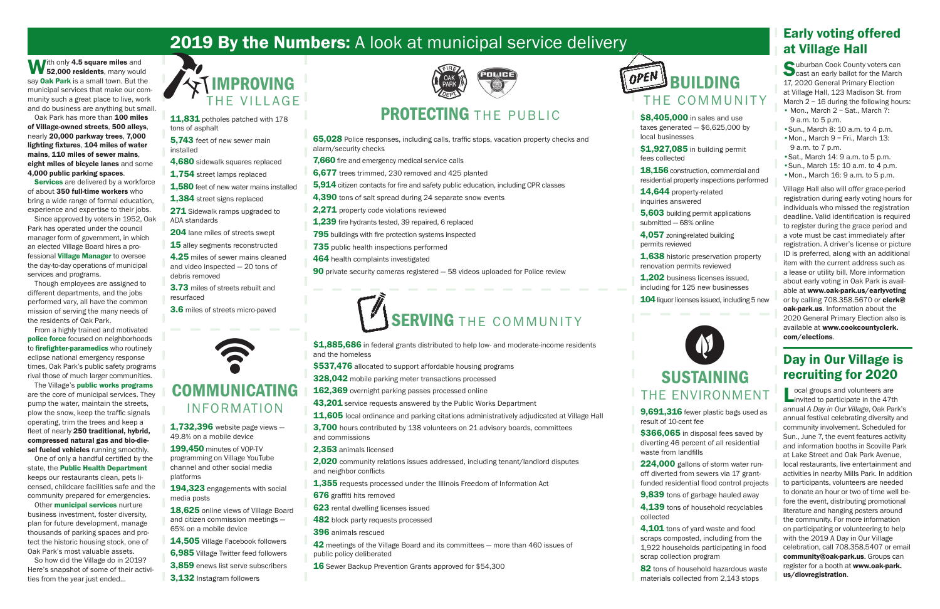# 2019 By the Numbers: A look at municipal service delivery Early voting offered

With only 4.5 square miles and<br>52,000 residents, many would say **Oak Park** is a small town. But the municipal services that make our community such a great place to live, work and do business are anything but small.

Oak Park has more than 100 miles of Village-owned streets, 500 alleys, nearly 20,000 parkway trees, 7,000 lighting fixtures, 104 miles of water mains, 110 miles of sewer mains, eight miles of bicycle lanes and some 4,000 public parking spaces.

**Services** are delivered by a workforce of about 350 full-time workers who bring a wide range of formal education, experience and expertise to their jobs.

Since approved by voters in 1952, Oak Park has operated under the council manager form of government, in which an elected Village Board hires a professional Village Manager to oversee the day-to-day operations of municipal services and programs.

Though employees are assigned to different departments, and the jobs performed vary, all have the common mission of serving the many needs of the residents of Oak Park.

Other **municipal services** nurture business investment, foster diversity, plan for future development, manage thousands of parking spaces and protect the historic housing stock, one of Oak Park's most valuable assets.

18,156 construction, commercial and residential property inspections performed

From a highly trained and motivated police force focused on neighborhoods to **firefighter-paramedics** who routinely eclipse national emergency response times, Oak Park's public safety programs rival those of much larger communities.

The Village's public works programs are the core of municipal services. They pump the water, maintain the streets, plow the snow, keep the traffic signals operating, trim the trees and keep a fleet of nearly 250 traditional, hybrid, compressed natural gas and bio-diesel fueled vehicles running smoothly.

14,644 property-related inquiries answered

4,057 zoning-related building permits reviewed

# **J** BUILDING THE COMMUNITY

\$8,405,000 in sales and use taxes generated  $-$  \$6,625,000 by

\$1,927,085 in building permit

One of only a handful certified by the state, the Public Health Department keeps our restaurants clean, pets licensed, childcare facilities safe and the community prepared for emergencies.

\$366,065 in disposal fees saved by diverting 46 percent of all residential

224,000 gallons of storm water runoff diverted from sewers via 17 grantfunded residential flood control projects

**9,839** tons of garbage hauled away

4.139 tons of household recyclables

4,101 tons of yard waste and food scraps composted, including from the 1,922 households participating in food scrap collection program

82 tons of household hazardous waste materials collected from 2,143 stops

11,831 potholes patched with 178 tons of asphalt

So how did the Village do in 2019? Here's snapshot of some of their activities from the year just ended…

local businesses

fees collected

- 
- 5,603 building permit applications
	-

1,638 historic preservation property

- 1.202 business licenses issued. including for 125 new businesses
- **104** liquor licenses issued, including 5 new



submitted — 68% online

renovation permits reviewed

- 65,028 Police responses, including calls, traffic stops, vacation property checks and alarm/security checks
- **7,660** fire and emergency medical service calls
- 6,677 trees trimmed, 230 removed and 425 planted
- 5,914 citizen contacts for fire and safety public education, including CPR classes
- 4,390 tons of salt spread during 24 separate snow events
- 2,271 property code violations reviewed
- 1,239 fire hydrants tested, 39 repaired, 6 replaced
- 795 buildings with fire protection systems inspected
- **735** public health inspections performed
- 464 health complaints investigated
- 90 private security cameras registered 58 videos uploaded for Police review

# SERVING THE COMMUNITY

result of 10-cent fee

waste from landfills

collected

# SUSTAINING THE ENVIRONMENT

9,691,316 fewer plastic bags used as

ocal groups and volunteers are  $\blacksquare$  invited to participate in the 47th annual *A Day in Our Village*, Oak Park's annual festival celebrating diversity and community involvement. Scheduled for Sun., June 7, the event features activity and information booths in Scoville Park at Lake Street and Oak Park Avenue, local restaurants, live entertainment and activities in nearby Mills Park. In addition to participants, volunteers are needed to donate an hour or two of time well before the event, distributing promotional literature and hanging posters around the community. For more information on participating or volunteering to help with the 2019 A Day in Our Village celebration, call 708.358.5407 or email community@oak-park.us. Groups can register for a booth at www.oak-park. us/diovregistration.

- 5,743 feet of new sewer main installed
- 4.680 sidewalk squares replaced
- 1.754 street lamps replaced
- 1,580 feet of new water mains installed
- 1,384 street signs replaced
- 271 Sidewalk ramps upgraded to ADA standards
- 204 lane miles of streets swept
- 15 alley segments reconstructed
- 4.25 miles of sewer mains cleaned and video inspected — 20 tons of debris removed
- 3.73 miles of streets rebuilt and resurfaced
- 3.6 miles of streets micro-paved





## COMMUNICATING INFORMATION

- **1,732,396** website page views -49.8% on a mobile device
- 199,450 minutes of VOP-TV
- programming on Village YouTube channel and other social media platforms
- 194,323 engagements with social media posts
- 18,625 online views of Village Board and citizen commission meetings — 65% on a mobile device
- 14,505 Village Facebook followers
- 6,985 Village Twitter feed followers
	- 3,859 enews list serve subscribers
	- 3,132 Instagram followers



# PROTECTING THE PUBLIC



- \$537,476 allocated to support affordable housing programs
- 328,042 mobile parking meter transactions processed
- 162,369 overnight parking passes processed online
- 43,201 service requests answered by the Public Works Department
- 11,605 local ordinance and parking citations administratively adjudicated at Village Hall
- **3.700** hours contributed by 138 volunteers on 21 advisory boards, committees and commissions
- 2,353 animals licensed
- 2,020 community relations issues addressed, including tenant/landlord disputes and neighbor conflicts
- 1,355 requests processed under the Illinois Freedom of Information Act
- 676 graffiti hits removed
- 623 rental dwelling licenses issued
- **482** block party requests processed
- 396 animals rescued
- 42 meetings of the Village Board and its committees more than 460 issues of public policy deliberated
- 16 Sewer Backup Prevention Grants approved for \$54,300



# at Village Hall

Suburban Cook County voters can<br>
cast an early ballot for the March 17, 2020 General Primary Election at Village Hall, 123 Madison St. from March  $2 - 16$  during the following hours: • Mon., March 2 - Sat., March 7:

- 9 a.m. to 5 p.m.
- •Sun., March 8: 10 a.m. to 4 p.m.
- •Mon., March 9 Fri., March 13: 9 a.m. to 7 p.m.
- •Sat., March 14: 9 a.m. to 5 p.m.
- •Sun., March 15: 10 a.m. to 4 p.m.
- •Mon., March 16: 9 a.m. to 5 p.m.

Village Hall also will offer grace-period registration during early voting hours for individuals who missed the registration deadline. Valid identification is required to register during the grace period and a vote must be cast immediately after registration. A driver's license or picture ID is preferred, along with an additional item with the current address such as a lease or utility bill. More information about early voting in Oak Park is available at www.oak-park.us/earlyvoting or by calling 708.358.5670 or clerk@ oak-park.us. Information about the 2020 General Primary Election also is available at www.cookcountyclerk. com/elections.

## Day in Our Village is recruiting for 2020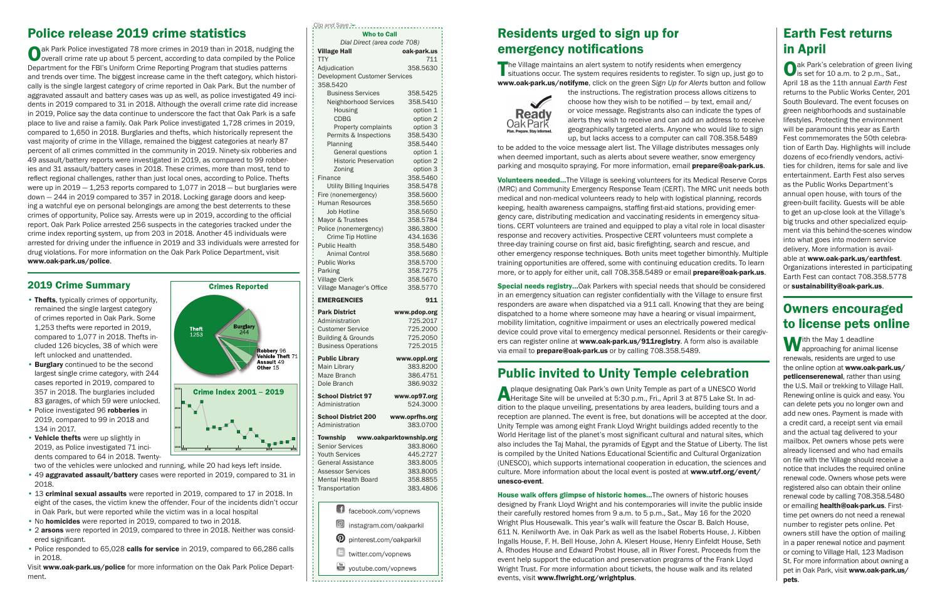| <b>Village Hall</b>                                                                                                                                                                                                                                                                                                  | Dial Direct (area code 708)<br>oak-park.us                                                                                                                 |
|----------------------------------------------------------------------------------------------------------------------------------------------------------------------------------------------------------------------------------------------------------------------------------------------------------------------|------------------------------------------------------------------------------------------------------------------------------------------------------------|
| <b>TTY</b>                                                                                                                                                                                                                                                                                                           | 711                                                                                                                                                        |
| Adjudication                                                                                                                                                                                                                                                                                                         | 358.5630                                                                                                                                                   |
| Development Customer Services                                                                                                                                                                                                                                                                                        |                                                                                                                                                            |
| 358.5420                                                                                                                                                                                                                                                                                                             |                                                                                                                                                            |
| <b>Business Services</b>                                                                                                                                                                                                                                                                                             | 358.5425                                                                                                                                                   |
| Neighborhood Services                                                                                                                                                                                                                                                                                                | 358.5410                                                                                                                                                   |
| Housing                                                                                                                                                                                                                                                                                                              | option 1                                                                                                                                                   |
| <b>CDBG</b>                                                                                                                                                                                                                                                                                                          | option 2                                                                                                                                                   |
| Property complaints                                                                                                                                                                                                                                                                                                  | option 3                                                                                                                                                   |
| Permits & Inspections                                                                                                                                                                                                                                                                                                | 358.5430                                                                                                                                                   |
| Planning                                                                                                                                                                                                                                                                                                             | 358.5440                                                                                                                                                   |
| General questions                                                                                                                                                                                                                                                                                                    | option 1                                                                                                                                                   |
| <b>Historic Preservation</b>                                                                                                                                                                                                                                                                                         | option 2                                                                                                                                                   |
| Zoning                                                                                                                                                                                                                                                                                                               | option 3<br>358.5460                                                                                                                                       |
| Finance                                                                                                                                                                                                                                                                                                              |                                                                                                                                                            |
| <b>Utility Billing Inquiries</b><br>Fire (nonemergency)                                                                                                                                                                                                                                                              | 358.5478<br>358,5600                                                                                                                                       |
| <b>Human Resources</b>                                                                                                                                                                                                                                                                                               | 358.5650                                                                                                                                                   |
| <b>Job Hotline</b>                                                                                                                                                                                                                                                                                                   | 358.5650                                                                                                                                                   |
| Mayor & Trustees                                                                                                                                                                                                                                                                                                     | 358.5784                                                                                                                                                   |
| Police (nonemergency)                                                                                                                                                                                                                                                                                                | 386.3800                                                                                                                                                   |
| Crime Tip Hotline                                                                                                                                                                                                                                                                                                    | 434.1636                                                                                                                                                   |
| <b>Public Health</b>                                                                                                                                                                                                                                                                                                 | 358.5480                                                                                                                                                   |
| <b>Animal Control</b>                                                                                                                                                                                                                                                                                                | 358,5680                                                                                                                                                   |
| <b>Public Works</b>                                                                                                                                                                                                                                                                                                  | 358.5700                                                                                                                                                   |
| Parking                                                                                                                                                                                                                                                                                                              | 358.7275                                                                                                                                                   |
| <b>Village Clerk</b>                                                                                                                                                                                                                                                                                                 | 358.5670                                                                                                                                                   |
| Village Manager's Office                                                                                                                                                                                                                                                                                             | 358,5770                                                                                                                                                   |
| <b>EMERGENCIES</b>                                                                                                                                                                                                                                                                                                   | 911                                                                                                                                                        |
| <b>Park District</b>                                                                                                                                                                                                                                                                                                 | www.pdop.org                                                                                                                                               |
| Administration                                                                                                                                                                                                                                                                                                       | 725.2017                                                                                                                                                   |
| <b>Customer Service</b>                                                                                                                                                                                                                                                                                              | 725,2000                                                                                                                                                   |
| <b>Building &amp; Grounds</b>                                                                                                                                                                                                                                                                                        | 725.2050                                                                                                                                                   |
|                                                                                                                                                                                                                                                                                                                      | 725.2015                                                                                                                                                   |
|                                                                                                                                                                                                                                                                                                                      |                                                                                                                                                            |
|                                                                                                                                                                                                                                                                                                                      |                                                                                                                                                            |
|                                                                                                                                                                                                                                                                                                                      |                                                                                                                                                            |
|                                                                                                                                                                                                                                                                                                                      |                                                                                                                                                            |
|                                                                                                                                                                                                                                                                                                                      |                                                                                                                                                            |
|                                                                                                                                                                                                                                                                                                                      |                                                                                                                                                            |
|                                                                                                                                                                                                                                                                                                                      |                                                                                                                                                            |
|                                                                                                                                                                                                                                                                                                                      |                                                                                                                                                            |
|                                                                                                                                                                                                                                                                                                                      |                                                                                                                                                            |
|                                                                                                                                                                                                                                                                                                                      |                                                                                                                                                            |
|                                                                                                                                                                                                                                                                                                                      |                                                                                                                                                            |
|                                                                                                                                                                                                                                                                                                                      |                                                                                                                                                            |
| <b>Business Operations</b><br><b>Public Library</b><br><b>Main Library</b><br>Maze Branch<br>Dole Branch<br><b>School District 97</b><br>Administration<br><b>School District 200</b><br>Administration<br>Township www.oakparktownship.org<br><b>Senior Services</b><br><b>Youth Services</b><br>General Assistance |                                                                                                                                                            |
| <b>Assessor Services</b>                                                                                                                                                                                                                                                                                             | www.oppl.org<br>383.8200<br>386.4751<br>386.9032<br>www.op97.org<br>524.3000<br>www.oprfhs.org<br>383,0700<br>383,8060<br>445.2727<br>383.8005<br>383,8005 |
| <b>Mental Health Board</b><br>Transportation                                                                                                                                                                                                                                                                         | 358.8855<br>383.4806                                                                                                                                       |

The Village maintains an alert system to notify residents when emergency situations occur. The system requires residents to register. To sign up, just go to www.oak-park.us/notifyme, click on the green *Sign Up for Alerts* button and follow



to be added to the voice message alert list. The Village distributes messages only when deemed important, such as alerts about severe weather, snow emergency parking and mosquito spraying. For more information, email **prepare@oak-park.us.** 

Volunteers needed…The Village is seeking volunteers for its Medical Reserve Corps (MRC) and Community Emergency Response Team (CERT). The MRC unit needs both medical and non-medical volunteers ready to help with logistical planning, records keeping, health awareness campaigns, staffing first-aid stations, providing emergency care, distributing medication and vaccinating residents in emergency situations. CERT volunteers are trained and equipped to play a vital role in local disaster response and recovery activities. Prospective CERT volunteers must complete a three-day training course on first aid, basic firefighting, search and rescue, and other emergency response techniques. Both units meet together bimonthly. Multiple training opportunities are offered, some with continuing education credits. To learn more, or to apply for either unit, call 708.358.5489 or email **prepare@oak-park.us**.

*Clip and Save* !

#### $\omega$  instagram.com/oakparkil

- **D** pinterest.com/oakparkil
- $\blacksquare$  twitter.com/vopnews
- youtube.com/vopnews <u>|</u>

## Residents urged to sign up for emergency notifications

Special needs registry…Oak Parkers with special needs that should be considered in an emergency situation can register confidentially with the Village to ensure first responders are aware when dispatched via a 911 call. Knowing that they are being dispatched to a home where someone may have a hearing or visual impairment, mobility limitation, cognitive impairment or uses an electrically powered medical device could prove vital to emergency medical personnel. Residents or their caregivers can register online at www.oak-park.us/911registry. A form also is available via email to **prepare@oak-park.us** or by calling 708.358.5489.

the instructions. The registration process allows citizens to choose how they wish to be notified — by text, email and/ or voice message. Registrants also can indicate the types of alerts they wish to receive and can add an address to receive geographically targeted alerts. Anyone who would like to sign up, but lacks access to a computer can call 708.358.5489

plaque designating Oak Park's own Unity Temple as part of a UNESCO World Heritage Site will be unveiled at 5:30 p.m., Fri., April 3 at 875 Lake St. In addition to the plaque unveiling, presentations by area leaders, building tours and a reception are planned. The event is free, but donations will be accepted at the door. Unity Temple was among eight Frank Lloyd Wright buildings added recently to the World Heritage list of the planet's most significant cultural and natural sites, which also includes the Taj Mahal, the pyramids of Egypt and the Statue of Liberty. The list is compiled by the United Nations Educational Scientific and Cultural Organization (UNESCO), which supports international cooperation in education, the sciences and culture. More information about the local event is posted at www.utrf.org/event/ unesco-event.

Oak Park Police investigated 78 more crimes in 2019 than in 2018, nudging the overall crime rate up about 5 percent, according to data compiled by the Police Department for the FBI's Uniform Crime Reporting Program that studies patterns and trends over time. The biggest increase came in the theft category, which historically is the single largest category of crime reported in Oak Park. But the number of aggravated assault and battery cases was up as well, as police investigated 49 incidents in 2019 compared to 31 in 2018. Although the overall crime rate did increase in 2019, Police say the data continue to underscore the fact that Oak Park is a safe place to live and raise a family. Oak Park Police investigated 1,728 crimes in 2019, compared to 1,650 in 2018. Burglaries and thefts, which historically represent the vast majority of crime in the Village, remained the biggest categories at nearly 87 percent of all crimes committed in the community in 2019. Ninety-six robberies and 49 assault/battery reports were investigated in 2019, as compared to 99 robberies and 31 assault/battery cases in 2018. These crimes, more than most, tend to reflect regional challenges, rather than just local ones, according to Police. Thefts were up in  $2019 - 1,253$  reports compared to  $1,077$  in  $2018 -$  but burglaries were down — 244 in 2019 compared to 357 in 2018. Locking garage doors and keeping a watchful eye on personal belongings are among the best deterrents to these crimes of opportunity, Police say. Arrests were up in 2019, according to the official report. Oak Park Police arrested 256 suspects in the categories tracked under the crime index reporting system, up from 203 in 2018. Another 45 individuals were arrested for driving under the influence in 2019 and 33 individuals were arrested for drug violations. For more information on the Oak Park Police Department, visit www.oak-park.us/police.

### Public invited to Unity Temple celebration

- Thefts, typically crimes of opportunity, remained the single largest category of crimes reported in Oak Park. Some 1,253 thefts were reported in 2019, compared to 1,077 in 2018. Thefts included 126 bicycles, 38 of which were left unlocked and unattended.
- Burglary continued to be the second largest single crime category, with 244 cases reported in 2019, compared to 357 in 2018. The burglaries included 83 garages, of which 59 were unlocked.
- Police investigated 96 robberies in 2019, compared to 99 in 2018 and 134 in 2017.
- Vehicle thefts were up slightly in 2019, as Police investigated 71 incidents compared to 64 in 2018. Twenty-

- 49 aggravated assault/battery cases were reported in 2019, compared to 31 in 2018.
- 13 criminal sexual assaults were reported in 2019, compared to 17 in 2018. In eight of the cases, the victim knew the offender. Four of the incidents didn't occur in Oak Park, but were reported while the victim was in a local hospital
- No **homicides** were reported in 2019, compared to two in 2018.
- 2 arsons were reported in 2019, compared to three in 2018. Neither was considered significant.
- Police responded to 65,028 calls for service in 2019, compared to 66,286 calls in 2018.

Oak Park's celebration of green living is set for 10 a.m. to 2 p.m., Sat., April 18 as the 11th annual *Earth Fest* returns to the Public Works Center, 201 South Boulevard. The event focuses on green neighborhoods and sustainable lifestyles. Protecting the environment will be paramount this year as Earth Fest commemorates the 50th celebration of Earth Day. Highlights will include dozens of eco-friendly vendors, activities for children, items for sale and live entertainment. Earth Fest also serves as the Public Works Department's annual open house, with tours of the green-built facility. Guests will be able to get an up-close look at the Village's big trucks and other specialized equipment via this behind-the-scenes window into what goes into modern service delivery. More information is available at www.oak-park.us/earthfest. Organizations interested in participating Earth Fest can contact 708.358.5778 or sustainability@oak-park.us.

House walk offers glimpse of historic homes…The owners of historic houses designed by Frank Lloyd Wright and his contemporaries will invite the public inside their carefully restored homes from 9 a.m. to 5 p.m., Sat., May 16 for the 2020 Wright Plus Housewalk. This year's walk will feature the Oscar B. Balch House, 611 N. Kenilworth Ave. in Oak Park as well as the Isabel Roberts House, J. Kibben Ingalls House, F. H. Bell House, John A. Klesert House, Henry Einfeldt House, Seth A. Rhodes House and Edward Probst House, all in River Forest. Proceeds from the event help support the education and preservation programs of the Frank Lloyd Wright Trust. For more information about tickets, the house walk and its related events, visit www.flwright.org/wrightplus.

With the May 1 deadline<br>approaching for animal license renewals, residents are urged to use the online option at www.oak-park.us/ petlicenserenewal, rather than using the U.S. Mail or trekking to Village Hall. Renewing online is quick and easy. You can delete pets you no longer own and add new ones. Payment is made with a credit card, a receipt sent via email and the actual tag delivered to your mailbox. Pet owners whose pets were already licensed and who had emails on file with the Village should receive a notice that includes the required online renewal code. Owners whose pets were registered also can obtain their online renewal code by calling 708.358.5480 or emailing health@oak-park.us. Firsttime pet owners do not need a renewal number to register pets online. Pet owners still have the option of mailing in a paper renewal notice and payment or coming to Village Hall, 123 Madison St. For more information about owning a pet in Oak Park, visit www.oak-park.us/ pets.

### Police release 2019 crime statistics

#### 2019 Crime Summary

two of the vehicles were unlocked and running, while 20 had keys left inside.

Visit www.oak-park.us/police for more information on the Oak Park Police Department.

#### Earth Fest returns in April

#### Owners encouraged to license pets online

1500

2000

2500